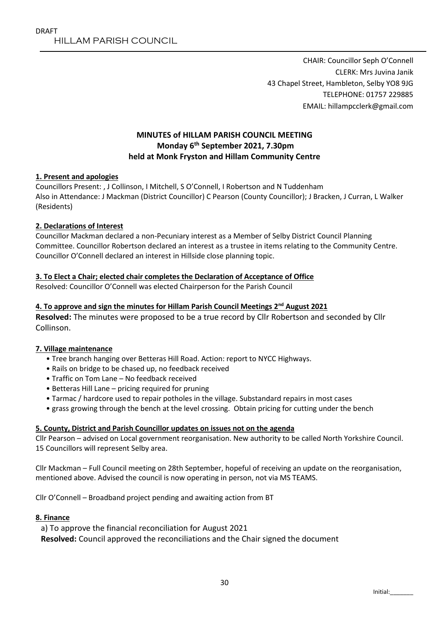CHAIR: Councillor Seph O'Connell CLERK: Mrs Juvina Janik 43 Chapel Street, Hambleton, Selby YO8 9JG TELEPHONE: 01757 229885 EMAIL: hillampcclerk@gmail.com

# **MINUTES of HILLAM PARISH COUNCIL MEETING Monday 6 th September 2021, 7.30pm held at Monk Fryston and Hillam Community Centre**

## **1. Present and apologies**

Councillors Present: , J Collinson, I Mitchell, S O'Connell, I Robertson and N Tuddenham Also in Attendance: J Mackman (District Councillor) C Pearson (County Councillor); J Bracken, J Curran, L Walker (Residents)

## **2. Declarations of Interest**

Councillor Mackman declared a non-Pecuniary interest as a Member of Selby District Council Planning Committee. Councillor Robertson declared an interest as a trustee in items relating to the Community Centre. Councillor O'Connell declared an interest in Hillside close planning topic.

## **3. To Elect a Chair; elected chair completes the Declaration of Acceptance of Office**

Resolved: Councillor O'Connell was elected Chairperson for the Parish Council

## **4. To approve and sign the minutes for Hillam Parish Council Meetings 2 nd August 2021**

**Resolved:** The minutes were proposed to be a true record by Cllr Robertson and seconded by Cllr Collinson.

#### **7. Village maintenance**

- Tree branch hanging over Betteras Hill Road. Action: report to NYCC Highways.
- Rails on bridge to be chased up, no feedback received
- Traffic on Tom Lane No feedback received
- Betteras Hill Lane pricing required for pruning
- Tarmac / hardcore used to repair potholes in the village. Substandard repairs in most cases
- grass growing through the bench at the level crossing. Obtain pricing for cutting under the bench

#### **5. County, District and Parish Councillor updates on issues not on the agenda**

Cllr Pearson – advised on Local government reorganisation. New authority to be called North Yorkshire Council. 15 Councillors will represent Selby area.

Cllr Mackman – Full Council meeting on 28th September, hopeful of receiving an update on the reorganisation, mentioned above. Advised the council is now operating in person, not via MS TEAMS.

Cllr O'Connell – Broadband project pending and awaiting action from BT

#### **8. Finance**

a) To approve the financial reconciliation for August 2021 **Resolved:** Council approved the reconciliations and the Chair signed the document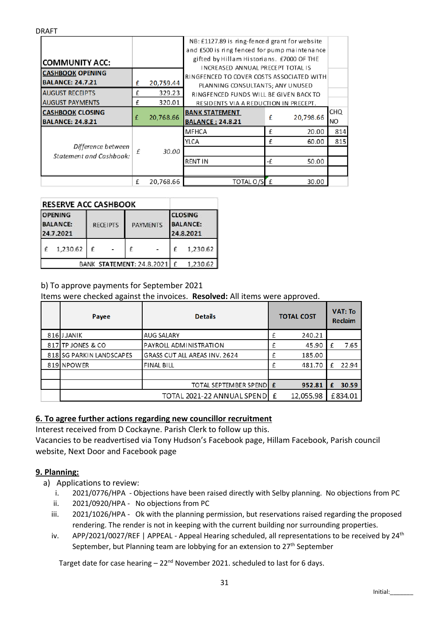|                                                      |   |           | NB: £1127.89 is ring-fenced grant for website<br>and £500 is ring fenced for pump maintenance |    |           |           |  |  |  |
|------------------------------------------------------|---|-----------|-----------------------------------------------------------------------------------------------|----|-----------|-----------|--|--|--|
| <b>COMMUNITY ACC:</b>                                |   |           | gifted by Hillam Historians. £7000 OF THE                                                     |    |           |           |  |  |  |
| <b>CASHBOOK OPENING</b><br><b>BALANCE: 24.7.21</b>   |   |           | INCREASED ANNUAL PRECEPT TOTAL IS<br>RINGFENCED TO COVER COSTS ASSOCIATED WITH                |    |           |           |  |  |  |
|                                                      | £ | 20,759.44 | PLANNING CONSULTANTS; ANY UNUSED                                                              |    |           |           |  |  |  |
| <b>AUGUST RECEIPTS</b>                               | £ | 329.23    | RINGFENCED FUNDS WILL BE GIVEN BACK TO                                                        |    |           |           |  |  |  |
| <b>AUGUST PAYMENTS</b>                               | £ | 320.01    | RESIDENTS VIA A REDUCTION IN PRECEPT.                                                         |    |           |           |  |  |  |
| <b>CASHBOOK CLOSING</b>                              | £ | 20,768.66 | <b>BANK STATEMENT</b>                                                                         | £  | 20,798.66 | CHQ       |  |  |  |
| <b>BALANCE: 24.8.21</b>                              |   |           | <b>BALANCE: 24.8.21</b>                                                                       |    |           | <b>NO</b> |  |  |  |
| Difference between<br><b>Statement and Cashbook:</b> | £ | 30.00     | <b>MFHCA</b>                                                                                  | £  | 20.00     | 814       |  |  |  |
|                                                      |   |           | YLCA                                                                                          | £  | 60.00     | 815       |  |  |  |
|                                                      |   |           |                                                                                               |    |           |           |  |  |  |
|                                                      |   |           | <b>RENT IN</b>                                                                                | -£ | 50.00     |           |  |  |  |
|                                                      |   |           |                                                                                               |    |           |           |  |  |  |
|                                                      | £ | 20,768.66 | TOTAL O/S                                                                                     | f  | 30.00     |           |  |  |  |

| <b>RESERVE ACC CASHBOOK</b>                    |          |                 |  |                 |          |                                                |          |  |
|------------------------------------------------|----------|-----------------|--|-----------------|----------|------------------------------------------------|----------|--|
| <b>OPENING</b><br><b>BALANCE:</b><br>24.7.2021 |          | <b>RECEIPTS</b> |  | <b>PAYMENTS</b> |          | <b>CLOSING</b><br><b>BALANCE:</b><br>24.8.2021 |          |  |
|                                                | 1,230.62 | £               |  | f               |          |                                                | 1,230.62 |  |
| <b>BANK STATEMENT: 24.8.2021</b>               |          |                 |  | $\mathbf{f}$    | 1.230.62 |                                                |          |  |

# b) To approve payments for September 2021

Items were checked against the invoices. **Resolved:** All items were approved.

| Payee                    | <b>Details</b>                | <b>TOTAL COST</b> |           | <b>VAT: To</b><br><b>Reclaim</b> |         |
|--------------------------|-------------------------------|-------------------|-----------|----------------------------------|---------|
| 816 JJANIK               | <b>AUG SALARY</b>             | £                 | 240.21    |                                  |         |
| 817 TP JONES & CO        | PAYROLL ADMINISTRATION        | f                 | 45.90     | $\mathsf{f}$                     | 7.65    |
| 818 SG PARKIN LANDSCAPES | GRASS CUT ALL AREAS INV. 2624 | f                 | 185.00    |                                  |         |
| 819 NPOWER               | <b>FINAL BILL</b>             | f                 | 481.70    | f                                | 22.94   |
|                          |                               |                   |           |                                  |         |
|                          | TOTAL SEPTEMBER SPENDE        |                   | 952.81    | £                                | 30.59   |
|                          | TOTAL 2021-22 ANNUAL SPEND    | £                 | 12,055.98 |                                  | £834.01 |

# **6. To agree further actions regarding new councillor recruitment**

Interest received from D Cockayne. Parish Clerk to follow up this.

Vacancies to be readvertised via Tony Hudson's Facebook page, Hillam Facebook, Parish council website, Next Door and Facebook page

## **9. Planning:**

DRAFT

- a) Applications to review:
	- i. 2021/0776/HPA Objections have been raised directly with Selby planning. No objections from PC
	- ii. 2021/0920/HPA No objections from PC
	- iii. 2021/1026/HPA Ok with the planning permission, but reservations raised regarding the proposed rendering. The render is not in keeping with the current building nor surrounding properties.
	- iv. APP/2021/0027/REF | APPEAL Appeal Hearing scheduled, all representations to be received by 24<sup>th</sup> September, but Planning team are lobbying for an extension to  $27<sup>th</sup>$  September

Target date for case hearing  $-22<sup>nd</sup>$  November 2021. scheduled to last for 6 days.